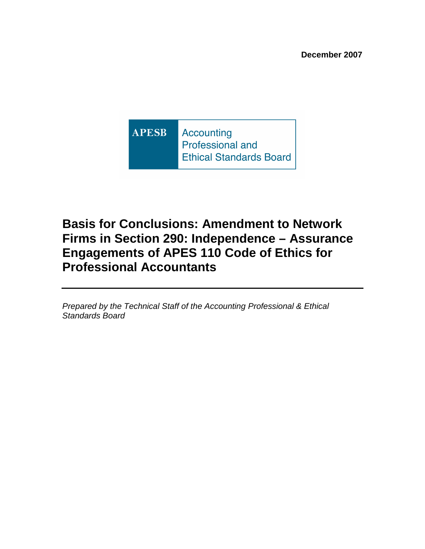**APESB Accounting** Professional and **Ethical Standards Board** 

# **Basis for Conclusions: Amendment to Network Firms in Section 290: Independence – Assurance Engagements of APES 110 Code of Ethics for Professional Accountants**

Prepared by the Technical Staff of the Accounting Professional & Ethical Standards Board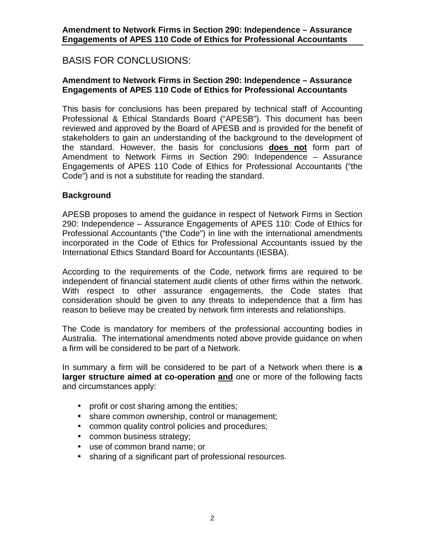## BASIS FOR CONCLUSIONS:

### **Amendment to Network Firms in Section 290: Independence – Assurance Engagements of APES 110 Code of Ethics for Professional Accountants**

This basis for conclusions has been prepared by technical staff of Accounting Professional & Ethical Standards Board ("APESB"). This document has been reviewed and approved by the Board of APESB and is provided for the benefit of stakeholders to gain an understanding of the background to the development of the standard. However, the basis for conclusions **does not** form part of Amendment to Network Firms in Section 290: Independence – Assurance Engagements of APES 110 Code of Ethics for Professional Accountants ("the Code") and is not a substitute for reading the standard.

### **Background**

APESB proposes to amend the guidance in respect of Network Firms in Section 290: Independence – Assurance Engagements of APES 110: Code of Ethics for Professional Accountants ("the Code") in line with the international amendments incorporated in the Code of Ethics for Professional Accountants issued by the International Ethics Standard Board for Accountants (IESBA).

According to the requirements of the Code, network firms are required to be independent of financial statement audit clients of other firms within the network. With respect to other assurance engagements, the Code states that consideration should be given to any threats to independence that a firm has reason to believe may be created by network firm interests and relationships.

The Code is mandatory for members of the professional accounting bodies in Australia. The international amendments noted above provide guidance on when a firm will be considered to be part of a Network.

In summary a firm will be considered to be part of a Network when there is **a larger structure aimed at co-operation and** one or more of the following facts and circumstances apply:

- profit or cost sharing among the entities;
- share common ownership, control or management;
- common quality control policies and procedures;
- common business strategy;
- use of common brand name; or
- sharing of a significant part of professional resources.